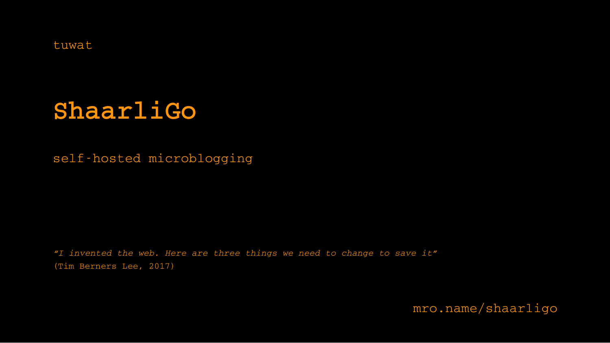tuwat

# **ShaarliGo**

self-hosted microblogging

*"I invented the web. Here are three things we need to change to save it"* (Tim Berners Lee, 2017)

[mro.name/shaarligo](http://mro.name/shaarligo)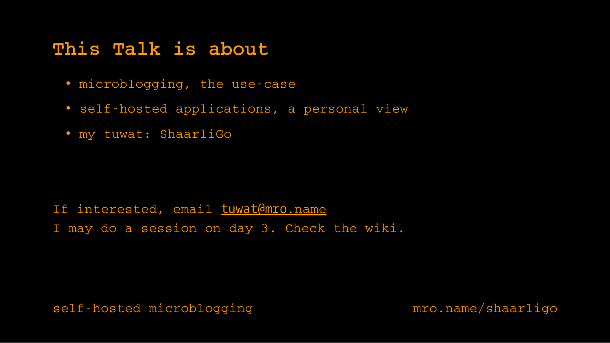## **This Talk is about**

- microblogging, the use-case
- self-hosted applications, a personal view
- my tuwat: ShaarliGo

If interested, email **tuwat@mro.[name](mailto:tuwat@mro.name)** I may do a session on day 3. Check the wiki.

self-hosted microblogging [mro.name/shaarligo](http://mro.name/shaarligo)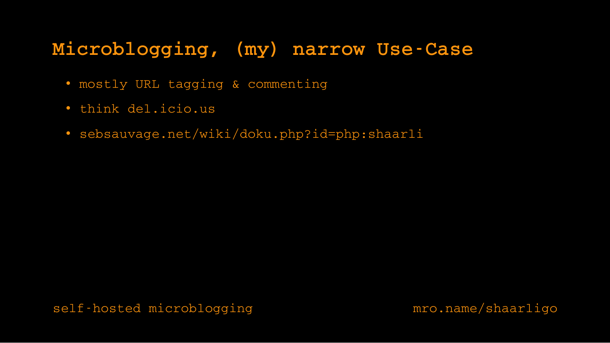## Microblogging, (my) narrow Use-Case

- mostly URL tagging & commenting
- think del.icio.us
- sebsauvage.net/wiki/doku.php?id=php:shaarli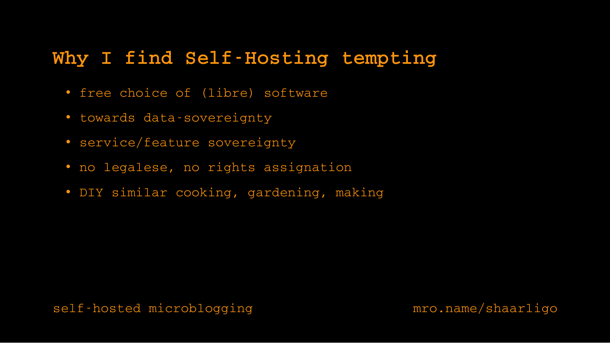## Why I find Self-Hosting tempting

- free choice of (libre) software
- · towards data-sovereignty
- service/feature sovereignty
- no legalese, no rights assignation
- DIY similar cooking, gardening, making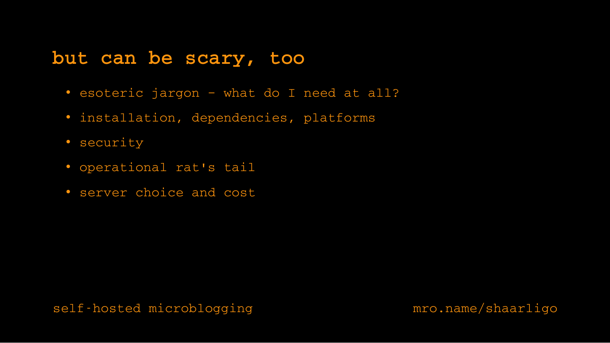#### **but can be scary, too**

- esoteric jargon what do I need at all?
- installation, dependencies, platforms
- security
- operational rat's tail
- server choice and cost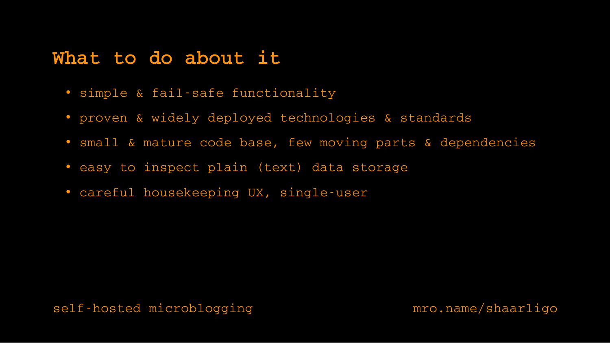#### **What to do about it**

- simple & fail-safe functionality
- proven & widely deployed technologies & standards
- small & mature code base, few moving parts & dependencies
- easy to inspect plain (text) data storage
- careful housekeeping UX, single-user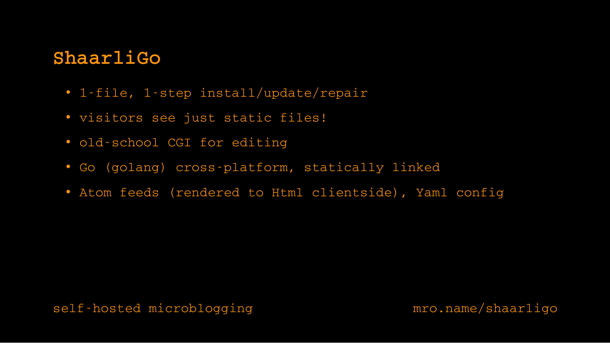## **ShaarliGo**

- 1-file, 1-step install/update/repair
- visitors see just static files!
- old-school CGI for editing
- Go (golang) cross-platform, statically linked
- Atom feeds (rendered to Html clientside), Yaml config